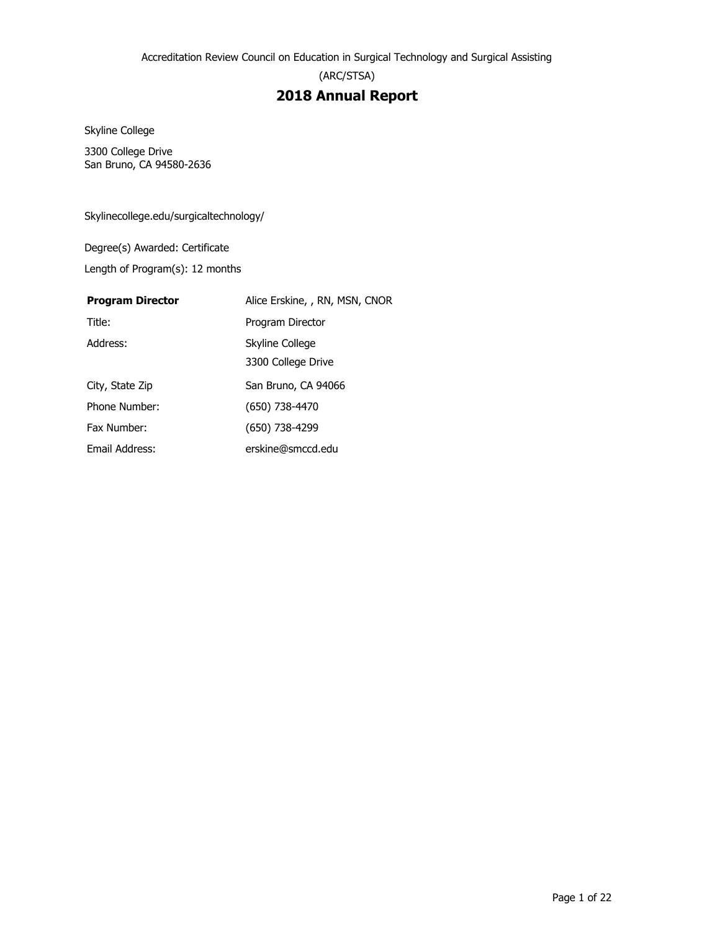(ARC/STSA)

## **2018 Annual Report**

Skyline College

3300 College Drive San Bruno, CA 94580-2636

Skylinecollege.edu/surgicaltechnology/

Degree(s) Awarded: Certificate

Length of Program(s): 12 months

#### **Program Director** Alice Erskine, , RN, MSN, CNOR

| Title:          | Program Director    |
|-----------------|---------------------|
| Address:        | Skyline College     |
|                 | 3300 College Drive  |
| City, State Zip | San Bruno, CA 94066 |
| Phone Number:   | (650) 738-4470      |
| Fax Number:     | (650) 738-4299      |
| Email Address:  | erskine@smccd.edu   |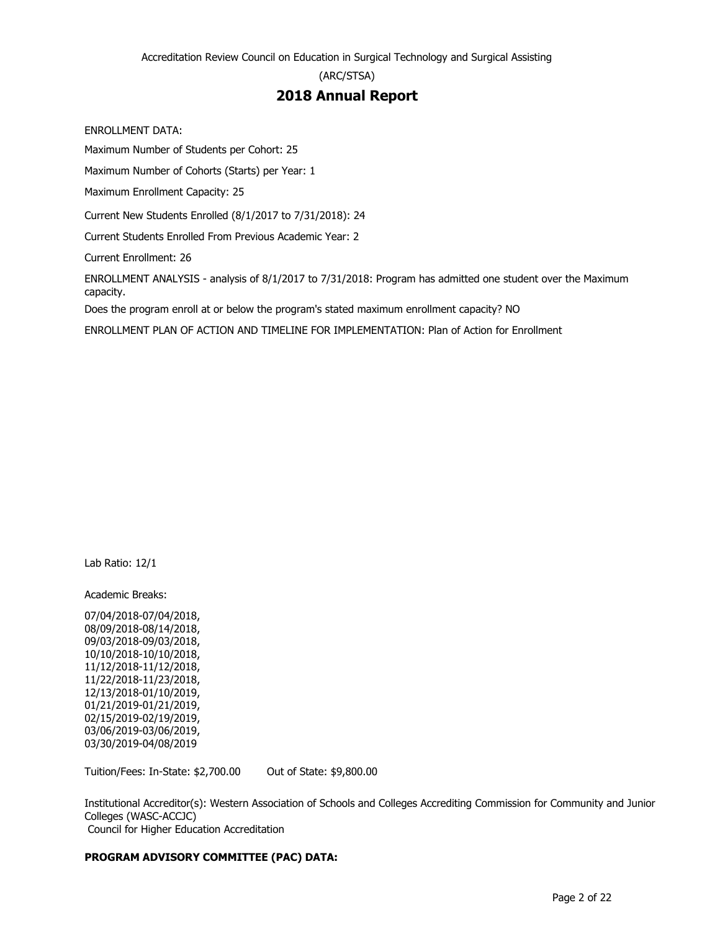(ARC/STSA)

## **2018 Annual Report**

ENROLLMENT DATA:

Maximum Number of Students per Cohort: 25

Maximum Number of Cohorts (Starts) per Year: 1

Maximum Enrollment Capacity: 25

Current New Students Enrolled (8/1/2017 to 7/31/2018): 24

Current Students Enrolled From Previous Academic Year: 2

Current Enrollment: 26

ENROLLMENT ANALYSIS - analysis of 8/1/2017 to 7/31/2018: Program has admitted one student over the Maximum capacity.

Does the program enroll at or below the program's stated maximum enrollment capacity? NO

ENROLLMENT PLAN OF ACTION AND TIMELINE FOR IMPLEMENTATION: Plan of Action for Enrollment

Lab Ratio: 12/1

Academic Breaks:

07/04/2018-07/04/2018, 08/09/2018-08/14/2018, 09/03/2018-09/03/2018, 10/10/2018-10/10/2018, 11/12/2018-11/12/2018, 11/22/2018-11/23/2018, 12/13/2018-01/10/2019, 01/21/2019-01/21/2019, 02/15/2019-02/19/2019, 03/06/2019-03/06/2019, 03/30/2019-04/08/2019

Tuition/Fees: In-State: \$2,700.00 Out of State: \$9,800.00

Institutional Accreditor(s): Western Association of Schools and Colleges Accrediting Commission for Community and Junior Colleges (WASC-ACCJC) Council for Higher Education Accreditation

#### **PROGRAM ADVISORY COMMITTEE (PAC) DATA:**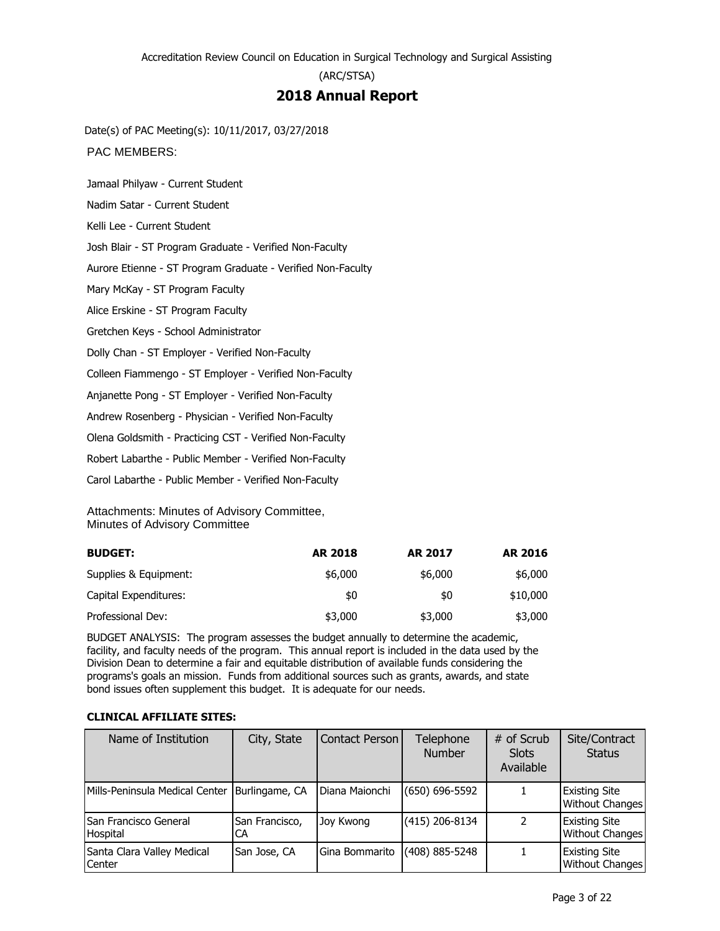## **2018 Annual Report**

Date(s) of PAC Meeting(s): 10/11/2017, 03/27/2018

PAC MEMBERS:

Jamaal Philyaw - Current Student

Nadim Satar - Current Student

Kelli Lee - Current Student

Josh Blair - ST Program Graduate - Verified Non-Faculty

Aurore Etienne - ST Program Graduate - Verified Non-Faculty

Mary McKay - ST Program Faculty

Alice Erskine - ST Program Faculty

Gretchen Keys - School Administrator

Dolly Chan - ST Employer - Verified Non-Faculty

Colleen Fiammengo - ST Employer - Verified Non-Faculty

Anjanette Pong - ST Employer - Verified Non-Faculty

Andrew Rosenberg - Physician - Verified Non-Faculty

Olena Goldsmith - Practicing CST - Verified Non-Faculty

Robert Labarthe - Public Member - Verified Non-Faculty

Carol Labarthe - Public Member - Verified Non-Faculty

Attachments: Minutes of Advisory Committee, Minutes of Advisory Committee

| <b>BUDGET:</b>        | <b>AR 2018</b> | <b>AR 2017</b> | <b>AR 2016</b> |
|-----------------------|----------------|----------------|----------------|
| Supplies & Equipment: | \$6,000        | \$6,000        | \$6,000        |
| Capital Expenditures: | \$0            | \$0            | \$10,000       |
| Professional Dev:     | \$3,000        | \$3,000        | \$3,000        |

BUDGET ANALYSIS: The program assesses the budget annually to determine the academic, facility, and faculty needs of the program. This annual report is included in the data used by the Division Dean to determine a fair and equitable distribution of available funds considering the programs's goals an mission. Funds from additional sources such as grants, awards, and state bond issues often supplement this budget. It is adequate for our needs.

#### **CLINICAL AFFILIATE SITES:**

| Name of Institution                             | City, State          | Contact Person | Telephone<br><b>Number</b> | # of Scrub<br><b>Slots</b><br>Available | Site/Contract<br><b>Status</b>                 |
|-------------------------------------------------|----------------------|----------------|----------------------------|-----------------------------------------|------------------------------------------------|
| Mills-Peninsula Medical Center   Burlingame, CA |                      | Diana Maionchi | $(650) 696 - 5592$         |                                         | <b>Existing Site</b><br><b>Without Changes</b> |
| San Francisco General<br>Hospital               | San Francisco,<br>CA | Joy Kwong      | $(415)$ 206-8134           | 2                                       | <b>Existing Site</b><br><b>Without Changes</b> |
| Santa Clara Valley Medical<br>Center            | San Jose, CA         | Gina Bommarito | (408) 885-5248             |                                         | <b>Existing Site</b><br>Without Changes        |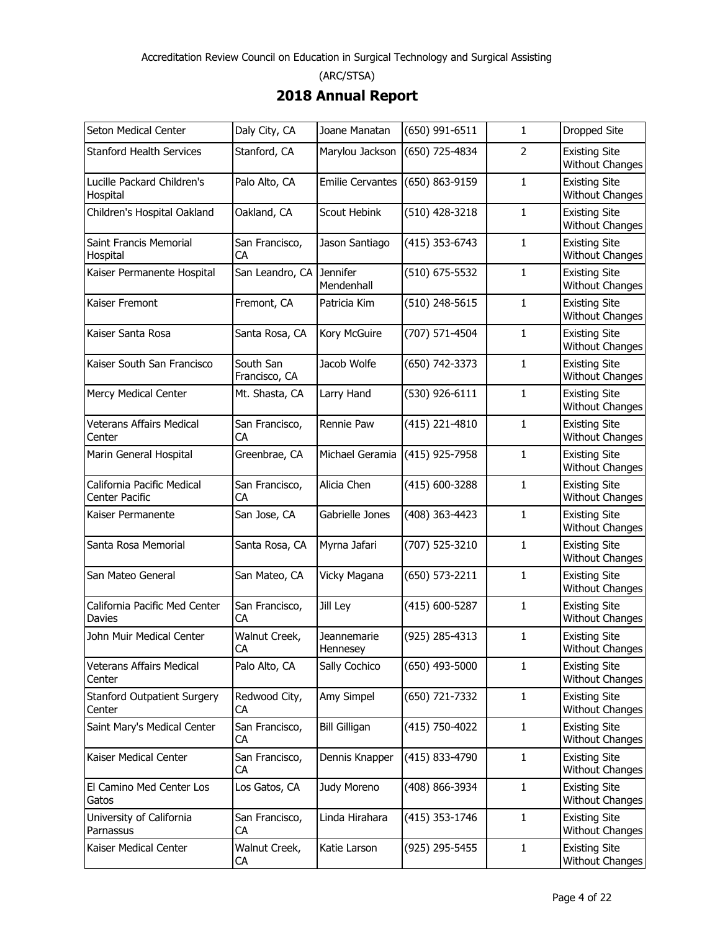# **2018 Annual Report**

| Seton Medical Center                           | Daly City, CA              | Joane Manatan                 | (650) 991-6511 | 1              | Dropped Site                                   |
|------------------------------------------------|----------------------------|-------------------------------|----------------|----------------|------------------------------------------------|
| <b>Stanford Health Services</b>                | Stanford, CA               | Marylou Jackson               | (650) 725-4834 | $\overline{2}$ | <b>Existing Site</b><br><b>Without Changes</b> |
| Lucille Packard Children's<br>Hospital         | Palo Alto, CA              | <b>Emilie Cervantes</b>       | (650) 863-9159 | $\mathbf{1}$   | <b>Existing Site</b><br><b>Without Changes</b> |
| Children's Hospital Oakland                    | Oakland, CA                | Scout Hebink                  | (510) 428-3218 | 1              | <b>Existing Site</b><br>Without Changes        |
| Saint Francis Memorial<br>Hospital             | San Francisco,<br>СA       | Jason Santiago                | (415) 353-6743 | 1              | <b>Existing Site</b><br><b>Without Changes</b> |
| Kaiser Permanente Hospital                     | San Leandro, CA            | <b>Jennifer</b><br>Mendenhall | (510) 675-5532 | 1              | <b>Existing Site</b><br><b>Without Changes</b> |
| Kaiser Fremont                                 | Fremont, CA                | Patricia Kim                  | (510) 248-5615 | 1              | <b>Existing Site</b><br><b>Without Changes</b> |
| Kaiser Santa Rosa                              | Santa Rosa, CA             | Kory McGuire                  | (707) 571-4504 | 1              | <b>Existing Site</b><br><b>Without Changes</b> |
| Kaiser South San Francisco                     | South San<br>Francisco, CA | Jacob Wolfe                   | (650) 742-3373 | 1              | <b>Existing Site</b><br><b>Without Changes</b> |
| Mercy Medical Center                           | Mt. Shasta, CA             | Larry Hand                    | (530) 926-6111 | 1              | <b>Existing Site</b><br><b>Without Changes</b> |
| Veterans Affairs Medical<br>Center             | San Francisco,<br>СA       | Rennie Paw                    | (415) 221-4810 | 1              | <b>Existing Site</b><br>Without Changes        |
| Marin General Hospital                         | Greenbrae, CA              | Michael Geramia               | (415) 925-7958 | 1              | <b>Existing Site</b><br><b>Without Changes</b> |
| California Pacific Medical<br>Center Pacific   | San Francisco,<br>CA       | Alicia Chen                   | (415) 600-3288 | 1              | <b>Existing Site</b><br><b>Without Changes</b> |
| Kaiser Permanente                              | San Jose, CA               | Gabrielle Jones               | (408) 363-4423 | 1              | <b>Existing Site</b><br><b>Without Changes</b> |
| Santa Rosa Memorial                            | Santa Rosa, CA             | Myrna Jafari                  | (707) 525-3210 | 1              | <b>Existing Site</b><br><b>Without Changes</b> |
| San Mateo General                              | San Mateo, CA              | Vicky Magana                  | (650) 573-2211 | 1              | <b>Existing Site</b><br><b>Without Changes</b> |
| California Pacific Med Center<br><b>Davies</b> | San Francisco,<br>СA       | Jill Ley                      | (415) 600-5287 | 1              | <b>Existing Site</b><br><b>Without Changes</b> |
| John Muir Medical Center                       | Walnut Creek,<br>СA        | Jeannemarie<br>Hennesey       | (925) 285-4313 | 1              | <b>Existing Site</b><br><b>Without Changes</b> |
| Veterans Affairs Medical<br>Center             | Palo Alto, CA              | Sally Cochico                 | (650) 493-5000 | 1              | <b>Existing Site</b><br><b>Without Changes</b> |
| Stanford Outpatient Surgery<br>Center          | Redwood City,<br>CA        | Amy Simpel                    | (650) 721-7332 | 1              | <b>Existing Site</b><br><b>Without Changes</b> |
| Saint Mary's Medical Center                    | San Francisco,<br>CA       | <b>Bill Gilligan</b>          | (415) 750-4022 | 1              | <b>Existing Site</b><br><b>Without Changes</b> |
| Kaiser Medical Center                          | San Francisco,<br>CA       | Dennis Knapper                | (415) 833-4790 | 1              | <b>Existing Site</b><br><b>Without Changes</b> |
| El Camino Med Center Los<br>Gatos              | Los Gatos, CA              | Judy Moreno                   | (408) 866-3934 | 1              | <b>Existing Site</b><br><b>Without Changes</b> |
| University of California<br>Parnassus          | San Francisco,<br>CA       | Linda Hirahara                | (415) 353-1746 | 1              | <b>Existing Site</b><br><b>Without Changes</b> |
| Kaiser Medical Center                          | Walnut Creek,<br>СA        | Katie Larson                  | (925) 295-5455 | 1              | <b>Existing Site</b><br>Without Changes        |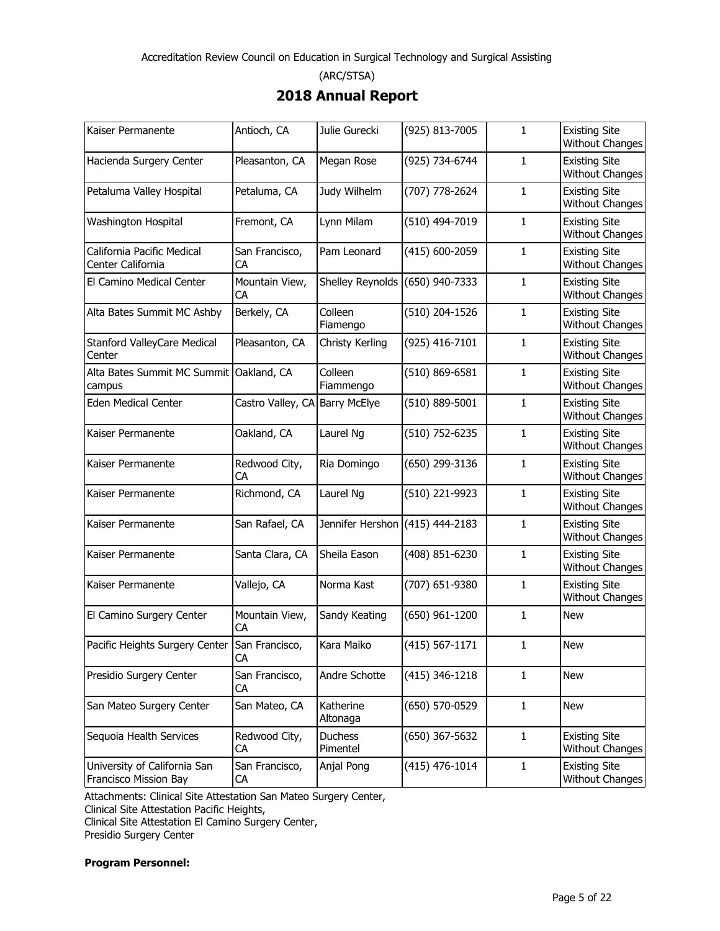## **2018 Annual Report**

| Kaiser Permanente                                     | Antioch, CA          | Julie Gurecki                   | (925) 813-7005     | 1            | <b>Existing Site</b><br><b>Without Changes</b> |
|-------------------------------------------------------|----------------------|---------------------------------|--------------------|--------------|------------------------------------------------|
| Hacienda Surgery Center                               | Pleasanton, CA       | Megan Rose                      | (925) 734-6744     | 1            | <b>Existing Site</b><br><b>Without Changes</b> |
| Petaluma Valley Hospital                              | Petaluma, CA         | Judy Wilhelm                    | (707) 778-2624     | 1            | <b>Existing Site</b><br><b>Without Changes</b> |
| Washington Hospital                                   | Fremont, CA          | Lynn Milam                      | (510) 494-7019     | 1            | <b>Existing Site</b><br><b>Without Changes</b> |
| California Pacific Medical<br>Center California       | San Francisco,<br>CA | Pam Leonard                     | (415) 600-2059     | 1            | <b>Existing Site</b><br><b>Without Changes</b> |
| El Camino Medical Center                              | Mountain View,<br>CA | Shelley Reynolds (650) 940-7333 |                    | $\mathbf{1}$ | <b>Existing Site</b><br><b>Without Changes</b> |
| Alta Bates Summit MC Ashby                            | Berkely, CA          | Colleen<br>Fiamengo             | (510) 204-1526     | 1            | <b>Existing Site</b><br><b>Without Changes</b> |
| Stanford ValleyCare Medical<br>Center                 | Pleasanton, CA       | Christy Kerling                 | (925) 416-7101     | 1            | <b>Existing Site</b><br><b>Without Changes</b> |
| Alta Bates Summit MC Summit   Oakland, CA<br>campus   |                      | Colleen<br>Fiammengo            | (510) 869-6581     | 1            | <b>Existing Site</b><br><b>Without Changes</b> |
| Eden Medical Center                                   | Castro Valley, CA    | <b>Barry McElye</b>             | (510) 889-5001     | 1            | <b>Existing Site</b><br><b>Without Changes</b> |
| Kaiser Permanente                                     | Oakland, CA          | Laurel Ng                       | (510) 752-6235     | 1            | <b>Existing Site</b><br><b>Without Changes</b> |
| Kaiser Permanente                                     | Redwood City,<br>CA  | Ria Domingo                     | (650) 299-3136     | $\mathbf{1}$ | <b>Existing Site</b><br><b>Without Changes</b> |
| Kaiser Permanente                                     | Richmond, CA         | Laurel Ng                       | (510) 221-9923     | $\mathbf{1}$ | <b>Existing Site</b><br><b>Without Changes</b> |
| Kaiser Permanente                                     | San Rafael, CA       | Jennifer Hershon (415) 444-2183 |                    | 1            | <b>Existing Site</b><br><b>Without Changes</b> |
| Kaiser Permanente                                     | Santa Clara, CA      | Sheila Eason                    | (408) 851-6230     | 1            | <b>Existing Site</b><br><b>Without Changes</b> |
| Kaiser Permanente                                     | Vallejo, CA          | Norma Kast                      | (707) 651-9380     | 1            | <b>Existing Site</b><br><b>Without Changes</b> |
| El Camino Surgery Center                              | Mountain View,<br>СA | Sandy Keating                   | (650) 961-1200     | 1            | <b>New</b>                                     |
| Pacific Heights Surgery Center San Francisco,         | СA                   | Kara Maiko                      | $(415) 567 - 1171$ | $\mathbf{1}$ | <b>New</b>                                     |
| Presidio Surgery Center                               | San Francisco,<br>СA | Andre Schotte                   | $(415)$ 346-1218   | $\mathbf{1}$ | <b>New</b>                                     |
| San Mateo Surgery Center                              | San Mateo, CA        | Katherine<br>Altonaga           | (650) 570-0529     | 1            | <b>New</b>                                     |
| Sequoia Health Services                               | Redwood City,<br>СA  | Duchess<br>Pimentel             | (650) 367-5632     | $\mathbf{1}$ | <b>Existing Site</b><br><b>Without Changes</b> |
| University of California San<br>Francisco Mission Bay | San Francisco,<br>СA | Anjal Pong                      | $(415)$ 476-1014   | $\mathbf{1}$ | <b>Existing Site</b><br>Without Changes        |

Attachments: Clinical Site Attestation San Mateo Surgery Center,

Clinical Site Attestation Pacific Heights,

Clinical Site Attestation El Camino Surgery Center, Presidio Surgery Center

**Program Personnel:**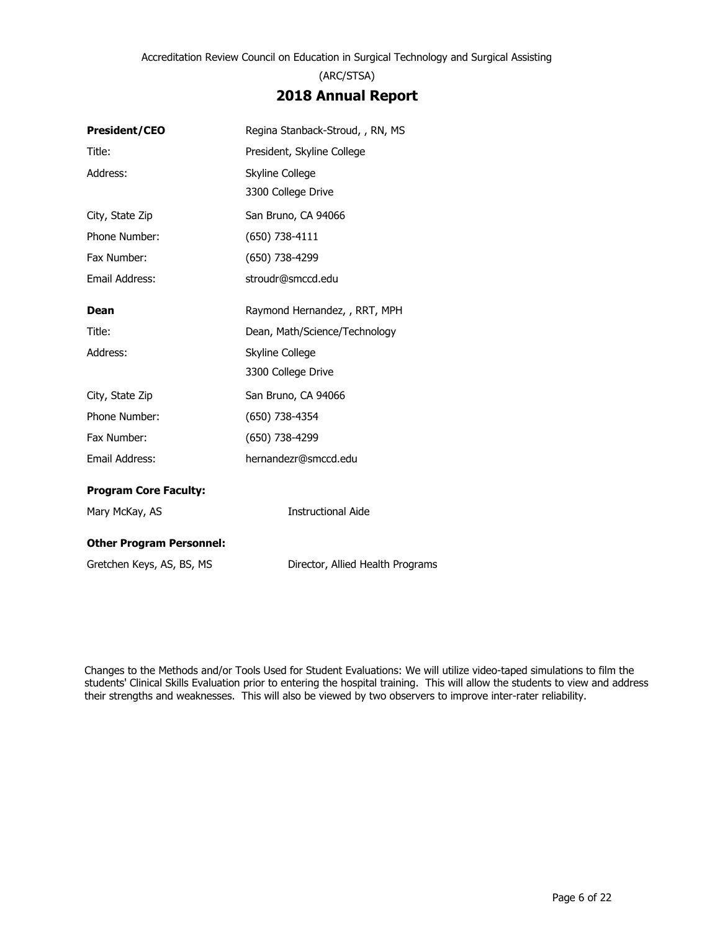## **2018 Annual Report**

| <b>President/CEO</b>            | Regina Stanback-Stroud, , RN, MS |  |  |
|---------------------------------|----------------------------------|--|--|
| Title:                          | President, Skyline College       |  |  |
| Address:                        | Skyline College                  |  |  |
|                                 | 3300 College Drive               |  |  |
| City, State Zip                 | San Bruno, CA 94066              |  |  |
| Phone Number:                   | (650) 738-4111                   |  |  |
| Fax Number:                     | (650) 738-4299                   |  |  |
| Email Address:                  | stroudr@smccd.edu                |  |  |
| <b>Dean</b>                     | Raymond Hernandez, , RRT, MPH    |  |  |
| Title:                          | Dean, Math/Science/Technology    |  |  |
| Address:                        | Skyline College                  |  |  |
|                                 | 3300 College Drive               |  |  |
| City, State Zip                 | San Bruno, CA 94066              |  |  |
| Phone Number:                   | (650) 738-4354                   |  |  |
| Fax Number:                     | (650) 738-4299                   |  |  |
| Email Address:                  | hernandezr@smccd.edu             |  |  |
| <b>Program Core Faculty:</b>    |                                  |  |  |
| Mary McKay, AS                  | <b>Instructional Aide</b>        |  |  |
| <b>Other Program Personnel:</b> |                                  |  |  |
| Gretchen Keys, AS, BS, MS       | Director, Allied Health Programs |  |  |

Changes to the Methods and/or Tools Used for Student Evaluations: We will utilize video-taped simulations to film the students' Clinical Skills Evaluation prior to entering the hospital training. This will allow the students to view and address their strengths and weaknesses. This will also be viewed by two observers to improve inter-rater reliability.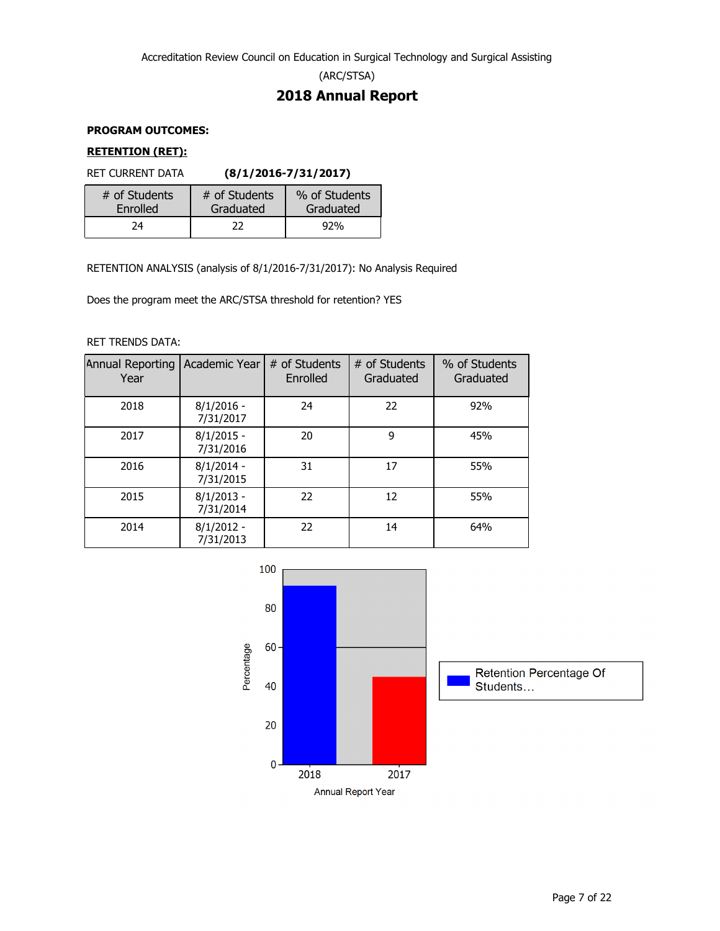(ARC/STSA)

## **2018 Annual Report**

### **PROGRAM OUTCOMES:**

### **RETENTION (RET):**

RET CURRENT DATA **(8/1/2016-7/31/2017)**

| # of Students | # of Students | % of Students |
|---------------|---------------|---------------|
| Enrolled      | Graduated     | Graduated     |
| 74            | 22            | 92%           |

RETENTION ANALYSIS (analysis of 8/1/2016-7/31/2017): No Analysis Required

Does the program meet the ARC/STSA threshold for retention? YES

#### RET TRENDS DATA:

| Annual Reporting<br>Year | Academic Year             | # of Students<br>Enrolled | # of Students<br>Graduated | % of Students<br>Graduated |
|--------------------------|---------------------------|---------------------------|----------------------------|----------------------------|
| 2018                     | $8/1/2016 -$<br>7/31/2017 | 24                        | 22                         | 92%                        |
| 2017                     | $8/1/2015 -$<br>7/31/2016 | 20                        | 9                          | 45%                        |
| 2016                     | $8/1/2014 -$<br>7/31/2015 | 31                        | 17                         | 55%                        |
| 2015                     | $8/1/2013 -$<br>7/31/2014 | 22                        | 12                         | 55%                        |
| 2014                     | $8/1/2012 -$<br>7/31/2013 | 22                        | 14                         | 64%                        |

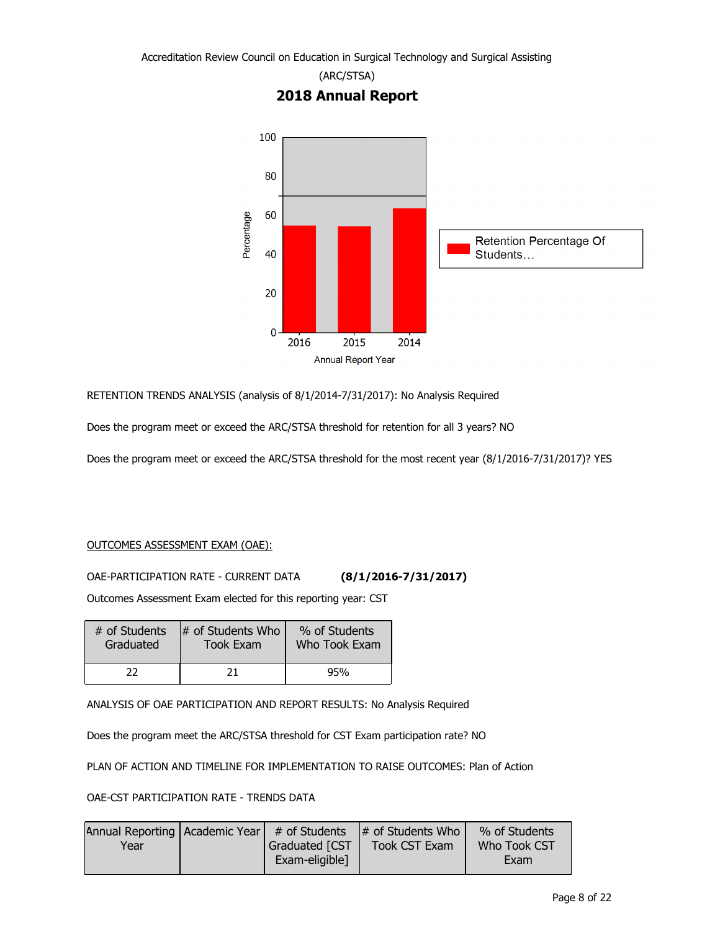

RETENTION TRENDS ANALYSIS (analysis of 8/1/2014-7/31/2017): No Analysis Required

Does the program meet or exceed the ARC/STSA threshold for retention for all 3 years? NO

Does the program meet or exceed the ARC/STSA threshold for the most recent year (8/1/2016-7/31/2017)? YES

#### OUTCOMES ASSESSMENT EXAM (OAE):

OAE-PARTICIPATION RATE - CURRENT DATA **(8/1/2016-7/31/2017)**

Outcomes Assessment Exam elected for this reporting year: CST

| # of Students | $\#$ of Students Who | % of Students |
|---------------|----------------------|---------------|
| Graduated     | Took Exam            | Who Took Exam |
|               | 71                   | 95%           |

ANALYSIS OF OAE PARTICIPATION AND REPORT RESULTS: No Analysis Required

Does the program meet the ARC/STSA threshold for CST Exam participation rate? NO

PLAN OF ACTION AND TIMELINE FOR IMPLEMENTATION TO RAISE OUTCOMES: Plan of Action

OAE-CST PARTICIPATION RATE - TRENDS DATA

|      |                 | Annual Reporting   Academic Year $\mid$ # of Students $\mid$ # of Students Who $\mid$ | % of Students |
|------|-----------------|---------------------------------------------------------------------------------------|---------------|
| Year | Graduated [CST] | <b>Took CST Exam</b>                                                                  | Who Took CST  |
|      | Exam-eligible]  |                                                                                       | Exam          |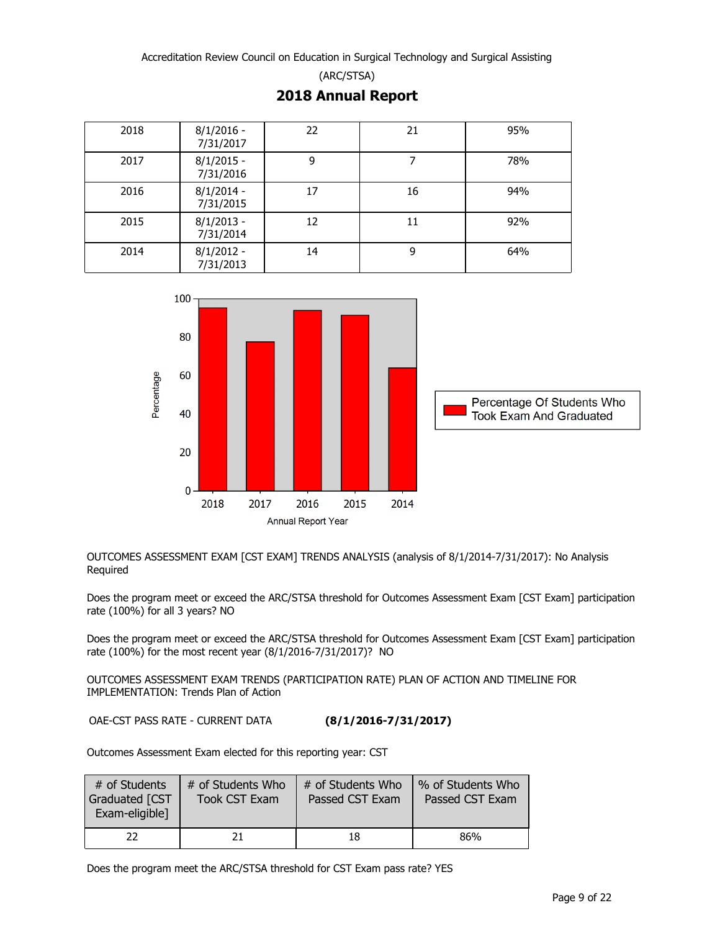**2018 Annual Report**

| 2018 | $8/1/2016$ -<br>7/31/2017 | 22 | 21 | 95% |
|------|---------------------------|----|----|-----|
| 2017 | $8/1/2015 -$<br>7/31/2016 | 9  | 7  | 78% |
| 2016 | $8/1/2014 -$<br>7/31/2015 | 17 | 16 | 94% |
| 2015 | $8/1/2013 -$<br>7/31/2014 | 12 | 11 | 92% |
| 2014 | $8/1/2012 -$<br>7/31/2013 | 14 | 9  | 64% |



OUTCOMES ASSESSMENT EXAM [CST EXAM] TRENDS ANALYSIS (analysis of 8/1/2014-7/31/2017): No Analysis Required

Does the program meet or exceed the ARC/STSA threshold for Outcomes Assessment Exam [CST Exam] participation rate (100%) for all 3 years? NO

Does the program meet or exceed the ARC/STSA threshold for Outcomes Assessment Exam [CST Exam] participation rate (100%) for the most recent year (8/1/2016-7/31/2017)? NO

OUTCOMES ASSESSMENT EXAM TRENDS (PARTICIPATION RATE) PLAN OF ACTION AND TIMELINE FOR IMPLEMENTATION: Trends Plan of Action

OAE-CST PASS RATE - CURRENT DATA **(8/1/2016-7/31/2017)**

Outcomes Assessment Exam elected for this reporting year: CST

| # of Students<br>Graduated [CST<br>Exam-eligible] | # of Students Who<br><b>Took CST Exam</b> | # of Students Who<br>Passed CST Exam | % of Students Who<br>Passed CST Exam |
|---------------------------------------------------|-------------------------------------------|--------------------------------------|--------------------------------------|
| $22 \,$                                           |                                           | 18                                   | 86%                                  |

Does the program meet the ARC/STSA threshold for CST Exam pass rate? YES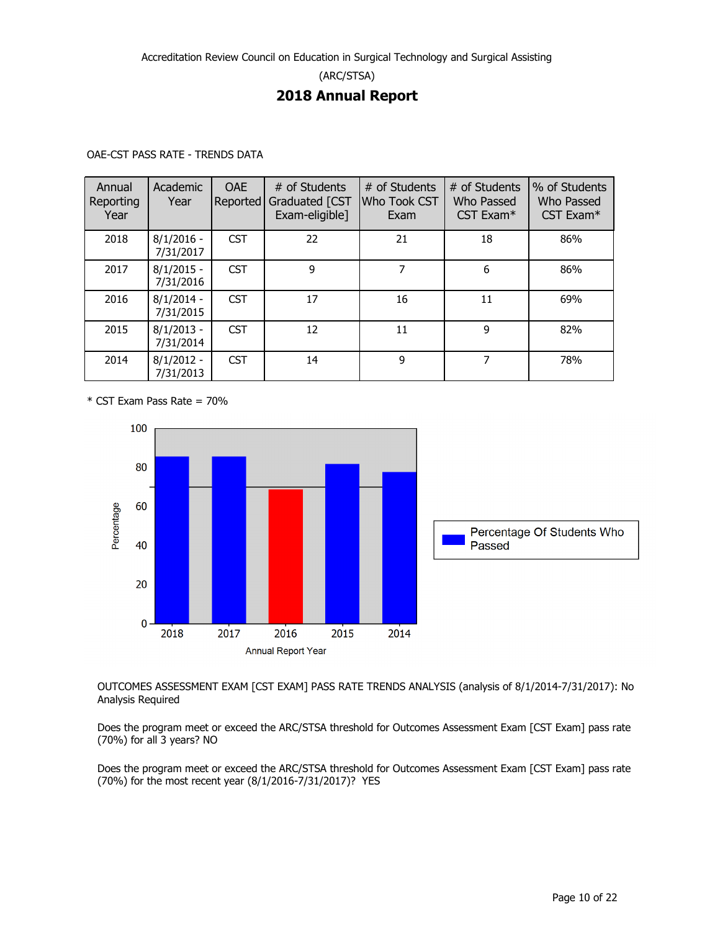## **2018 Annual Report**

| Annual<br>Reporting<br>Year | Academic<br>Year          | <b>OAE</b><br><b>Reported</b> | # of Students<br>Graduated [CST<br>Exam-eligible] | # of Students<br>Who Took CST<br>Exam | # of Students<br>Who Passed<br>CST Exam <sup>*</sup> | % of Students<br>Who Passed<br>CST Exam* |
|-----------------------------|---------------------------|-------------------------------|---------------------------------------------------|---------------------------------------|------------------------------------------------------|------------------------------------------|
| 2018                        | $8/1/2016 -$<br>7/31/2017 | <b>CST</b>                    | 22                                                | 21                                    | 18                                                   | 86%                                      |
| 2017                        | $8/1/2015 -$<br>7/31/2016 | <b>CST</b>                    | 9                                                 | 7                                     | 6                                                    | 86%                                      |
| 2016                        | $8/1/2014 -$<br>7/31/2015 | <b>CST</b>                    | 17                                                | 16                                    | 11                                                   | 69%                                      |
| 2015                        | $8/1/2013 -$<br>7/31/2014 | <b>CST</b>                    | 12                                                | 11                                    | 9                                                    | 82%                                      |
| 2014                        | $8/1/2012 -$<br>7/31/2013 | <b>CST</b>                    | 14                                                | 9                                     | 7                                                    | 78%                                      |

\* CST Exam Pass Rate = 70%



OUTCOMES ASSESSMENT EXAM [CST EXAM] PASS RATE TRENDS ANALYSIS (analysis of 8/1/2014-7/31/2017): No Analysis Required

Does the program meet or exceed the ARC/STSA threshold for Outcomes Assessment Exam [CST Exam] pass rate (70%) for all 3 years? NO

Does the program meet or exceed the ARC/STSA threshold for Outcomes Assessment Exam [CST Exam] pass rate (70%) for the most recent year (8/1/2016-7/31/2017)? YES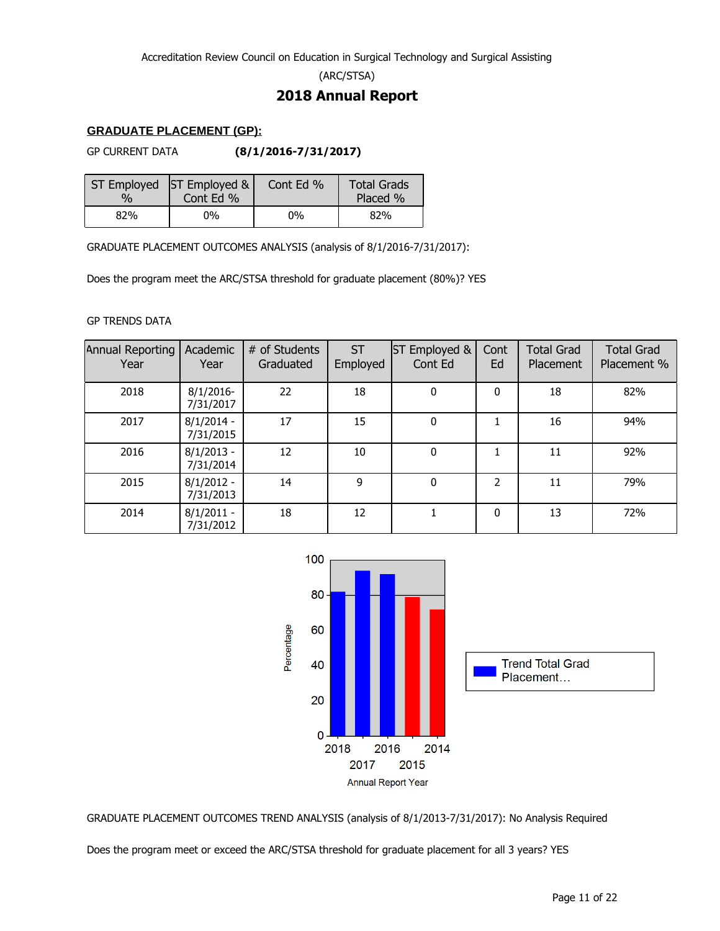(ARC/STSA)

## **2018 Annual Report**

#### **GRADUATE PLACEMENT (GP):**

GP CURRENT DATA **(8/1/2016-7/31/2017)**

| 0/2 | ST Employed ST Employed &<br>Cont Ed % | Cont Ed % | <b>Total Grads</b><br>Placed % |
|-----|----------------------------------------|-----------|--------------------------------|
| 82% | 0%                                     | $0\%$     | 82%                            |

GRADUATE PLACEMENT OUTCOMES ANALYSIS (analysis of 8/1/2016-7/31/2017):

Does the program meet the ARC/STSA threshold for graduate placement (80%)? YES

#### GP TRENDS DATA

| Annual Reporting<br>Year | Academic<br>Year          | # of Students<br>Graduated | <b>ST</b><br>Employed | Employed &<br>IST<br>Cont Ed | Cont<br>Ed   | <b>Total Grad</b><br><b>Placement</b> | <b>Total Grad</b><br>Placement % |
|--------------------------|---------------------------|----------------------------|-----------------------|------------------------------|--------------|---------------------------------------|----------------------------------|
| 2018                     | $8/1/2016$ -<br>7/31/2017 | 22                         | 18                    | $\mathbf{0}$                 | $\mathbf{0}$ | 18                                    | 82%                              |
| 2017                     | $8/1/2014 -$<br>7/31/2015 | 17                         | 15                    | $\mathbf{0}$                 |              | 16                                    | 94%                              |
| 2016                     | $8/1/2013 -$<br>7/31/2014 | 12                         | 10                    | $\mathbf 0$                  |              | 11                                    | 92%                              |
| 2015                     | $8/1/2012 -$<br>7/31/2013 | 14                         | 9                     | $\mathbf{0}$                 | 2            | 11                                    | 79%                              |
| 2014                     | $8/1/2011 -$<br>7/31/2012 | 18                         | 12                    |                              | $\mathbf{0}$ | 13                                    | 72%                              |



GRADUATE PLACEMENT OUTCOMES TREND ANALYSIS (analysis of 8/1/2013-7/31/2017): No Analysis Required

Does the program meet or exceed the ARC/STSA threshold for graduate placement for all 3 years? YES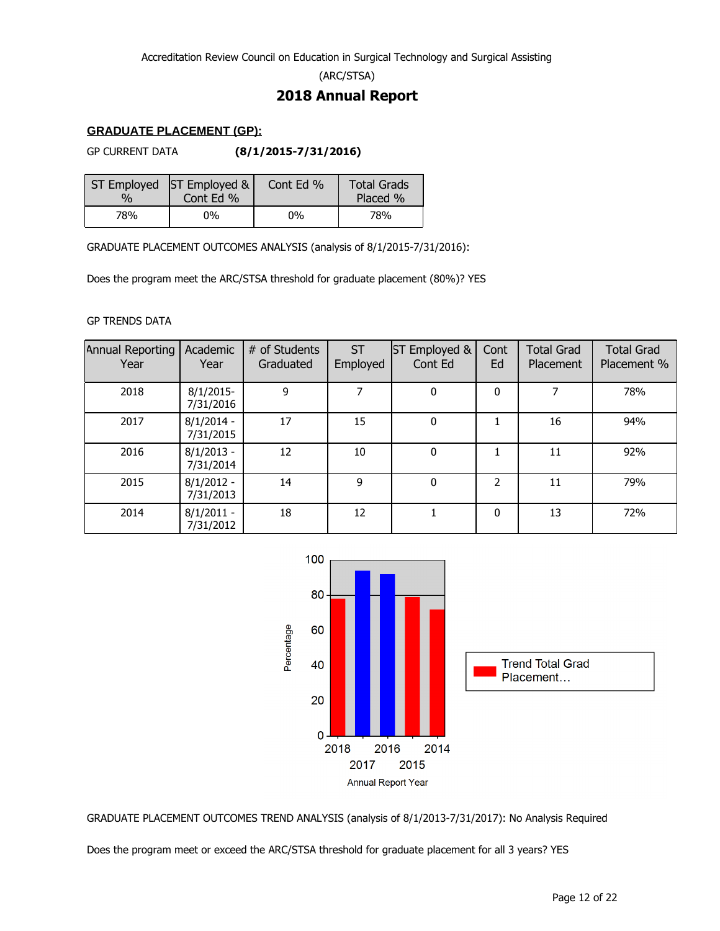(ARC/STSA)

## **2018 Annual Report**

#### **GRADUATE PLACEMENT (GP):**

GP CURRENT DATA **(8/1/2015-7/31/2016)**

| 0/2 | ST Employed ST Employed &<br>Cont Ed % | Cont Ed % | <b>Total Grads</b><br>Placed % |
|-----|----------------------------------------|-----------|--------------------------------|
| 78% | 0%                                     | $0\%$     | 78%                            |

GRADUATE PLACEMENT OUTCOMES ANALYSIS (analysis of 8/1/2015-7/31/2016):

Does the program meet the ARC/STSA threshold for graduate placement (80%)? YES

#### GP TRENDS DATA

| Annual Reporting<br>Year | Academic<br>Year          | # of Students<br>Graduated | <b>ST</b><br>Employed | Employed &<br>IST<br>Cont Ed | Cont<br>Ed   | <b>Total Grad</b><br>Placement | <b>Total Grad</b><br>Placement % |
|--------------------------|---------------------------|----------------------------|-----------------------|------------------------------|--------------|--------------------------------|----------------------------------|
| 2018                     | $8/1/2015$ -<br>7/31/2016 | 9                          |                       | 0                            | $\Omega$     |                                | 78%                              |
| 2017                     | $8/1/2014 -$<br>7/31/2015 | 17                         | 15                    | 0                            |              | 16                             | 94%                              |
| 2016                     | $8/1/2013 -$<br>7/31/2014 | 12                         | 10                    | 0                            |              | 11                             | 92%                              |
| 2015                     | $8/1/2012 -$<br>7/31/2013 | 14                         | 9                     | 0                            | 2            | 11                             | 79%                              |
| 2014                     | $8/1/2011 -$<br>7/31/2012 | 18                         | 12                    |                              | $\mathbf{0}$ | 13                             | 72%                              |



GRADUATE PLACEMENT OUTCOMES TREND ANALYSIS (analysis of 8/1/2013-7/31/2017): No Analysis Required

Does the program meet or exceed the ARC/STSA threshold for graduate placement for all 3 years? YES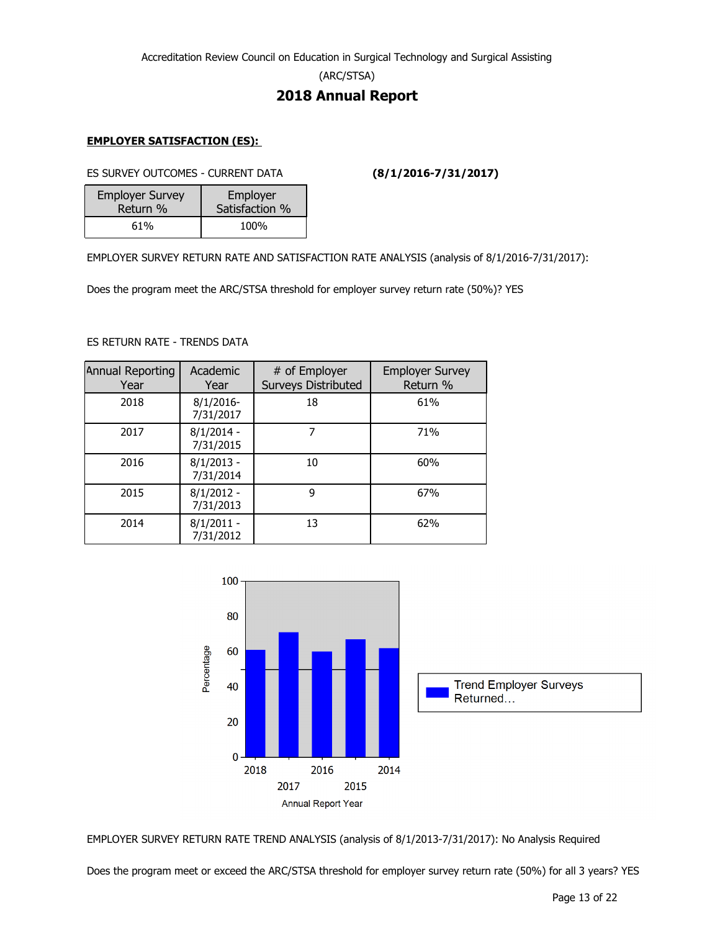(ARC/STSA)

## **2018 Annual Report**

#### **EMPLOYER SATISFACTION (ES):**

ES SURVEY OUTCOMES - CURRENT DATA **(8/1/2016-7/31/2017)**

| <b>Employer Survey</b> | Employer       |
|------------------------|----------------|
| Return %               | Satisfaction % |
| 61%                    | 100%           |

EMPLOYER SURVEY RETURN RATE AND SATISFACTION RATE ANALYSIS (analysis of 8/1/2016-7/31/2017):

Does the program meet the ARC/STSA threshold for employer survey return rate (50%)? YES

#### ES RETURN RATE - TRENDS DATA

| Annual Reporting<br>Year | Academic<br>Year          | # of Employer<br><b>Surveys Distributed</b> | <b>Employer Survey</b><br>Return % |
|--------------------------|---------------------------|---------------------------------------------|------------------------------------|
| 2018                     | $8/1/2016$ -<br>7/31/2017 | 18                                          | 61%                                |
| 2017                     | $8/1/2014 -$<br>7/31/2015 | 7                                           | 71%                                |
| 2016                     | $8/1/2013 -$<br>7/31/2014 | 10                                          | 60%                                |
| 2015                     | $8/1/2012 -$<br>7/31/2013 | 9                                           | 67%                                |
| 2014                     | $8/1/2011 -$<br>7/31/2012 | 13                                          | 62%                                |



EMPLOYER SURVEY RETURN RATE TREND ANALYSIS (analysis of 8/1/2013-7/31/2017): No Analysis Required

Does the program meet or exceed the ARC/STSA threshold for employer survey return rate (50%) for all 3 years? YES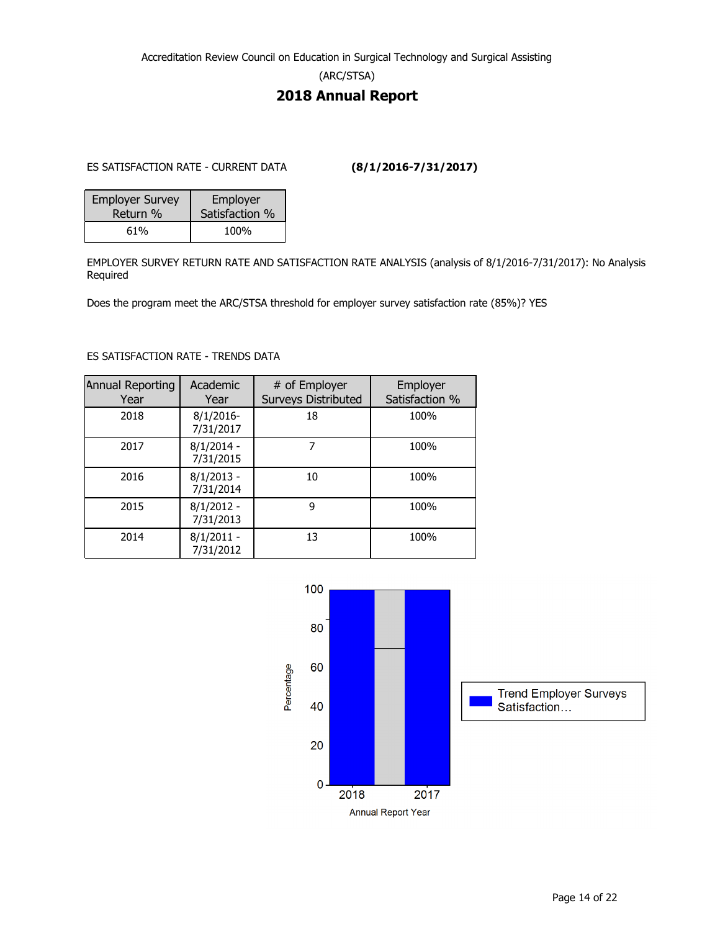(ARC/STSA)

## **2018 Annual Report**

ES SATISFACTION RATE - CURRENT DATA **(8/1/2016-7/31/2017)**

| <b>Employer Survey</b> | Employer       |  |
|------------------------|----------------|--|
| Return %               | Satisfaction % |  |
| 61%                    | 100%           |  |

EMPLOYER SURVEY RETURN RATE AND SATISFACTION RATE ANALYSIS (analysis of 8/1/2016-7/31/2017): No Analysis Required

Does the program meet the ARC/STSA threshold for employer survey satisfaction rate (85%)? YES

#### ES SATISFACTION RATE - TRENDS DATA

| Annual Reporting<br>Year | Academic<br>Year          | # of Employer<br><b>Surveys Distributed</b> | Employer<br>Satisfaction % |
|--------------------------|---------------------------|---------------------------------------------|----------------------------|
| 2018                     | $8/1/2016$ -<br>7/31/2017 | 18                                          | 100%                       |
| 2017                     | $8/1/2014 -$<br>7/31/2015 |                                             | 100%                       |
| 2016                     | $8/1/2013 -$<br>7/31/2014 | 10                                          | 100%                       |
| 2015                     | $8/1/2012 -$<br>7/31/2013 | 9                                           | 100%                       |
| 2014                     | $8/1/2011 -$<br>7/31/2012 | 13                                          | 100%                       |

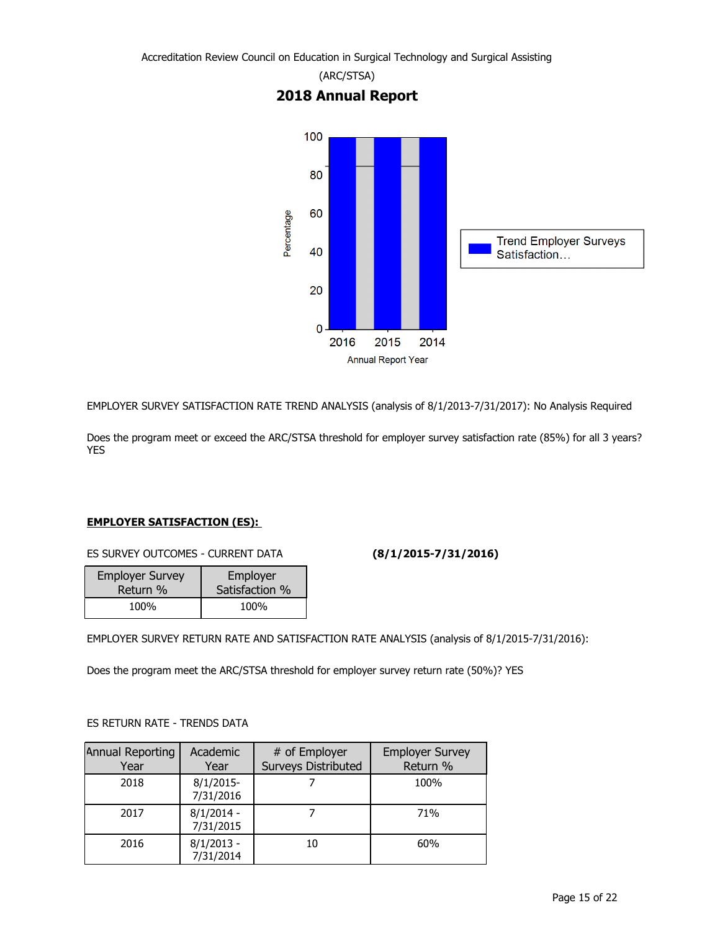

EMPLOYER SURVEY SATISFACTION RATE TREND ANALYSIS (analysis of 8/1/2013-7/31/2017): No Analysis Required

Does the program meet or exceed the ARC/STSA threshold for employer survey satisfaction rate (85%) for all 3 years? YES

#### **EMPLOYER SATISFACTION (ES):**

ES SURVEY OUTCOMES - CURRENT DATA **(8/1/2015-7/31/2016)**

| <b>Employer Survey</b> | Employer       |
|------------------------|----------------|
| Return %               | Satisfaction % |
| 100%                   | 100%           |

EMPLOYER SURVEY RETURN RATE AND SATISFACTION RATE ANALYSIS (analysis of 8/1/2015-7/31/2016):

Does the program meet the ARC/STSA threshold for employer survey return rate (50%)? YES

#### ES RETURN RATE - TRENDS DATA

| Annual Reporting<br>Year | Academic<br>Year          | # of Employer<br><b>Surveys Distributed</b> | <b>Employer Survey</b><br>Return % |
|--------------------------|---------------------------|---------------------------------------------|------------------------------------|
| 2018                     | $8/1/2015$ -<br>7/31/2016 |                                             | 100%                               |
| 2017                     | $8/1/2014 -$<br>7/31/2015 |                                             | 71%                                |
| 2016                     | $8/1/2013 -$<br>7/31/2014 | 10                                          | 60%                                |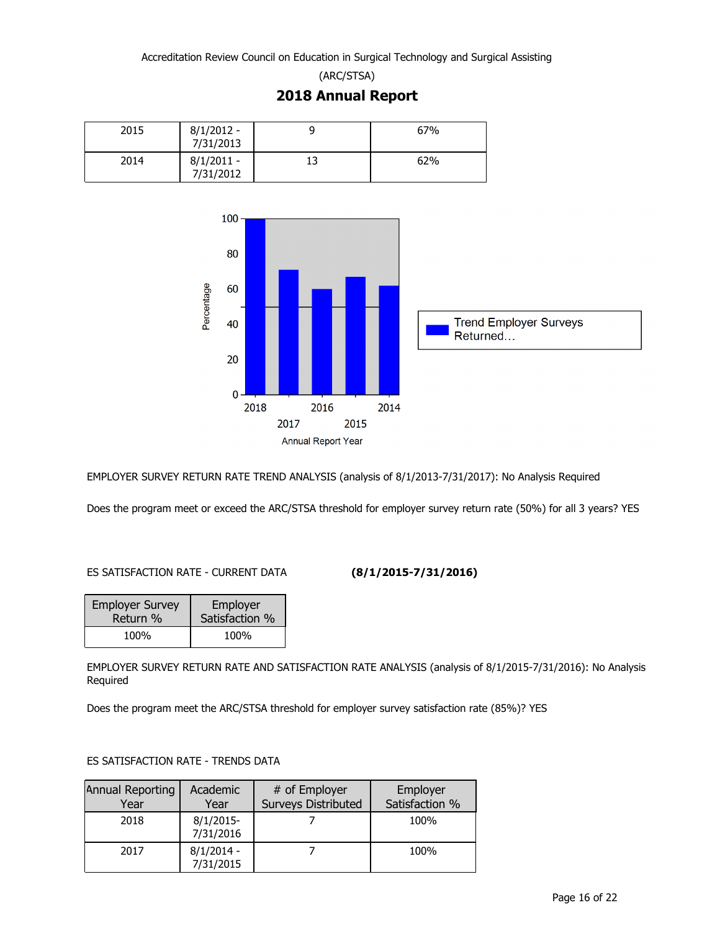(ARC/STSA) **2018 Annual Report**





EMPLOYER SURVEY RETURN RATE TREND ANALYSIS (analysis of 8/1/2013-7/31/2017): No Analysis Required

Does the program meet or exceed the ARC/STSA threshold for employer survey return rate (50%) for all 3 years? YES

#### ES SATISFACTION RATE - CURRENT DATA **(8/1/2015-7/31/2016)**

| <b>Employer Survey</b> | Employer       |  |
|------------------------|----------------|--|
| Return %               | Satisfaction % |  |
| 100%                   | 100%           |  |

EMPLOYER SURVEY RETURN RATE AND SATISFACTION RATE ANALYSIS (analysis of 8/1/2015-7/31/2016): No Analysis Required

Does the program meet the ARC/STSA threshold for employer survey satisfaction rate (85%)? YES

#### ES SATISFACTION RATE - TRENDS DATA

| Annual Reporting<br>Year | Academic<br>Year          | # of Employer<br><b>Surveys Distributed</b> | Employer<br>Satisfaction % |
|--------------------------|---------------------------|---------------------------------------------|----------------------------|
| 2018                     | $8/1/2015$ -<br>7/31/2016 |                                             | 100%                       |
| 2017                     | $8/1/2014 -$<br>7/31/2015 |                                             | 100%                       |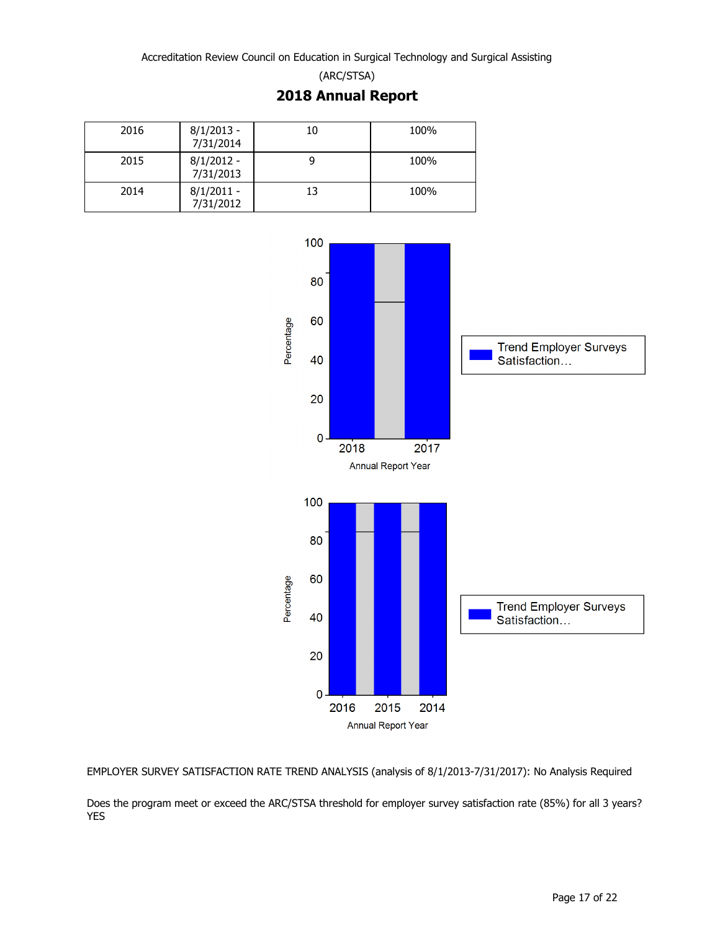(ARC/STSA)

## **2018 Annual Report**

| 2016 | $8/1/2013 -$<br>7/31/2014 | 10 | 100% |
|------|---------------------------|----|------|
| 2015 | $8/1/2012 -$<br>7/31/2013 |    | 100% |
| 2014 | $8/1/2011 -$<br>7/31/2012 | 13 | 100% |



EMPLOYER SURVEY SATISFACTION RATE TREND ANALYSIS (analysis of 8/1/2013-7/31/2017): No Analysis Required

Does the program meet or exceed the ARC/STSA threshold for employer survey satisfaction rate (85%) for all 3 years? YES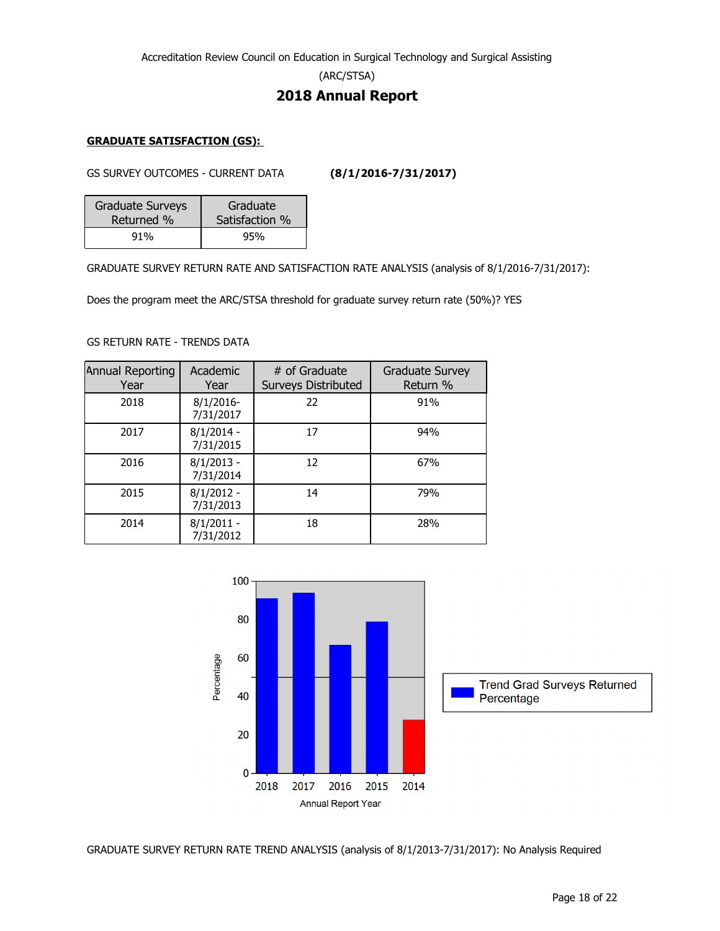(ARC/STSA)

## **2018 Annual Report**

#### **GRADUATE SATISFACTION (GS):**

GS SURVEY OUTCOMES - CURRENT DATA **(8/1/2016-7/31/2017)**

| Graduate Surveys | Graduate       |  |
|------------------|----------------|--|
| Returned %       | Satisfaction % |  |
| 91%              | 95%            |  |

GRADUATE SURVEY RETURN RATE AND SATISFACTION RATE ANALYSIS (analysis of 8/1/2016-7/31/2017):

Does the program meet the ARC/STSA threshold for graduate survey return rate (50%)? YES

#### GS RETURN RATE - TRENDS DATA

| Annual Reporting<br>Year | Academic<br>Year          | # of Graduate<br><b>Surveys Distributed</b> | <b>Graduate Survey</b><br>Return % |
|--------------------------|---------------------------|---------------------------------------------|------------------------------------|
| 2018                     | $8/1/2016$ -<br>7/31/2017 | 22                                          | 91%                                |
| 2017                     | $8/1/2014 -$<br>7/31/2015 | 17                                          | 94%                                |
| 2016                     | $8/1/2013 -$<br>7/31/2014 | 12                                          | 67%                                |
| 2015                     | $8/1/2012 -$<br>7/31/2013 | 14                                          | 79%                                |
| 2014                     | $8/1/2011 -$<br>7/31/2012 | 18                                          | 28%                                |



GRADUATE SURVEY RETURN RATE TREND ANALYSIS (analysis of 8/1/2013-7/31/2017): No Analysis Required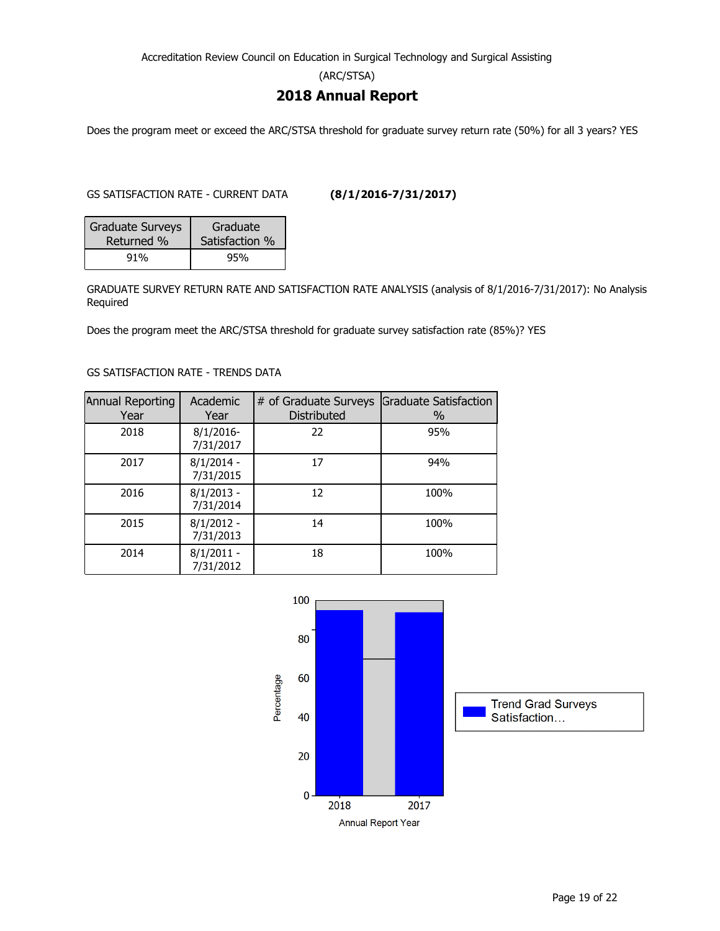(ARC/STSA)

## **2018 Annual Report**

Does the program meet or exceed the ARC/STSA threshold for graduate survey return rate (50%) for all 3 years? YES

GS SATISFACTION RATE - CURRENT DATA **(8/1/2016-7/31/2017)**

| <b>Graduate Surveys</b> | Graduate       |  |
|-------------------------|----------------|--|
| Returned %              | Satisfaction % |  |
| 91%                     | 95%            |  |

GRADUATE SURVEY RETURN RATE AND SATISFACTION RATE ANALYSIS (analysis of 8/1/2016-7/31/2017): No Analysis Required

Does the program meet the ARC/STSA threshold for graduate survey satisfaction rate (85%)? YES

#### GS SATISFACTION RATE - TRENDS DATA

| Annual Reporting<br>Year | Academic<br>Year          | # of Graduate Surveys<br>Distributed | <b>Graduate Satisfaction</b><br>$\%$ |
|--------------------------|---------------------------|--------------------------------------|--------------------------------------|
| 2018                     | $8/1/2016$ -<br>7/31/2017 | 22                                   | 95%                                  |
| 2017                     | $8/1/2014 -$<br>7/31/2015 | 17                                   | 94%                                  |
| 2016                     | $8/1/2013 -$<br>7/31/2014 | 12                                   | 100%                                 |
| 2015                     | $8/1/2012 -$<br>7/31/2013 | 14                                   | 100%                                 |
| 2014                     | $8/1/2011 -$<br>7/31/2012 | 18                                   | 100%                                 |

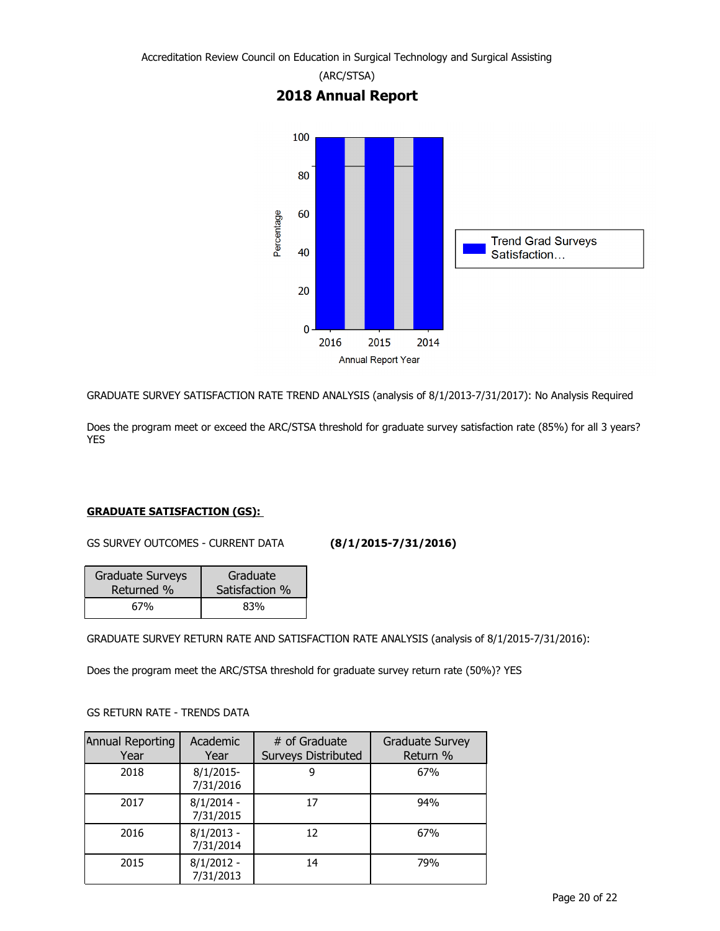

GRADUATE SURVEY SATISFACTION RATE TREND ANALYSIS (analysis of 8/1/2013-7/31/2017): No Analysis Required

Does the program meet or exceed the ARC/STSA threshold for graduate survey satisfaction rate (85%) for all 3 years? YES

#### **GRADUATE SATISFACTION (GS):**

GS SURVEY OUTCOMES - CURRENT DATA **(8/1/2015-7/31/2016)**

| <b>Graduate Surveys</b> | Graduate       |
|-------------------------|----------------|
| Returned %              | Satisfaction % |
| 67%                     | 83%            |

GRADUATE SURVEY RETURN RATE AND SATISFACTION RATE ANALYSIS (analysis of 8/1/2015-7/31/2016):

Does the program meet the ARC/STSA threshold for graduate survey return rate (50%)? YES

#### GS RETURN RATE - TRENDS DATA

| Annual Reporting<br>Year | Academic<br>Year          | # of Graduate<br><b>Surveys Distributed</b> | <b>Graduate Survey</b><br>Return % |
|--------------------------|---------------------------|---------------------------------------------|------------------------------------|
| 2018                     | $8/1/2015$ -<br>7/31/2016 | 9                                           | 67%                                |
| 2017                     | $8/1/2014 -$<br>7/31/2015 | 17                                          | 94%                                |
| 2016                     | $8/1/2013 -$<br>7/31/2014 | 12                                          | 67%                                |
| 2015                     | $8/1/2012 -$<br>7/31/2013 | 14                                          | 79%                                |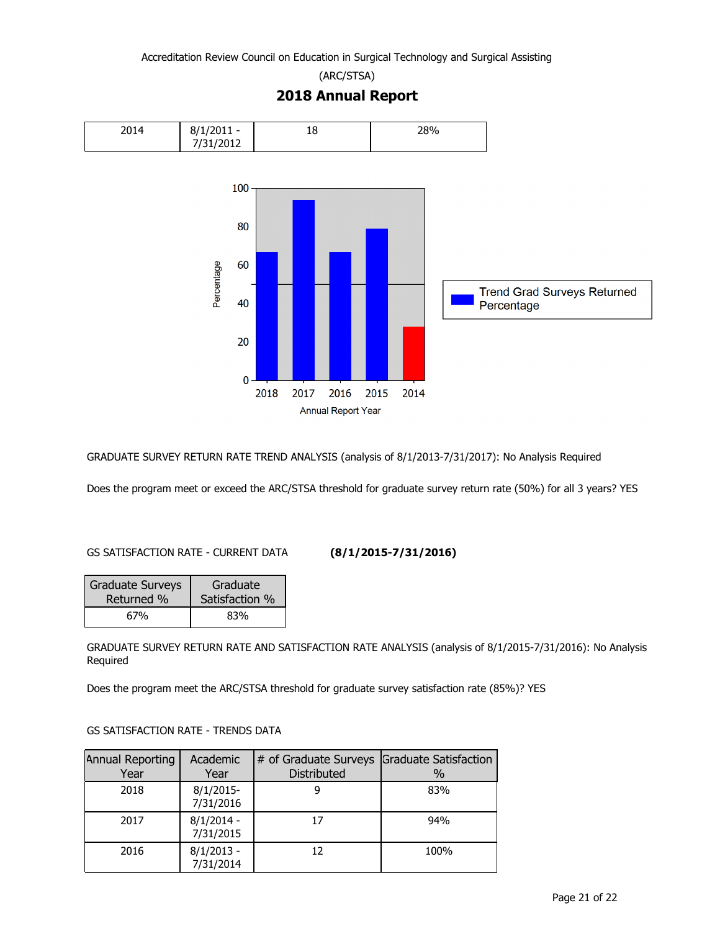(ARC/STSA)



**2018 Annual Report**

GRADUATE SURVEY RETURN RATE TREND ANALYSIS (analysis of 8/1/2013-7/31/2017): No Analysis Required

Does the program meet or exceed the ARC/STSA threshold for graduate survey return rate (50%) for all 3 years? YES

### GS SATISFACTION RATE - CURRENT DATA **(8/1/2015-7/31/2016)**

| <b>Graduate Surveys</b> | Graduate       |
|-------------------------|----------------|
| Returned %              | Satisfaction % |
| 67%                     | 83%            |

GRADUATE SURVEY RETURN RATE AND SATISFACTION RATE ANALYSIS (analysis of 8/1/2015-7/31/2016): No Analysis Required

Does the program meet the ARC/STSA threshold for graduate survey satisfaction rate (85%)? YES

### GS SATISFACTION RATE - TRENDS DATA

| Annual Reporting<br>Year | Academic<br>Year          | # of Graduate Surveys Graduate Satisfaction<br><b>Distributed</b> | $\%$ |
|--------------------------|---------------------------|-------------------------------------------------------------------|------|
| 2018                     | $8/1/2015$ -<br>7/31/2016 |                                                                   | 83%  |
| 2017                     | $8/1/2014 -$<br>7/31/2015 | 17                                                                | 94%  |
| 2016                     | $8/1/2013 -$<br>7/31/2014 | 12                                                                | 100% |